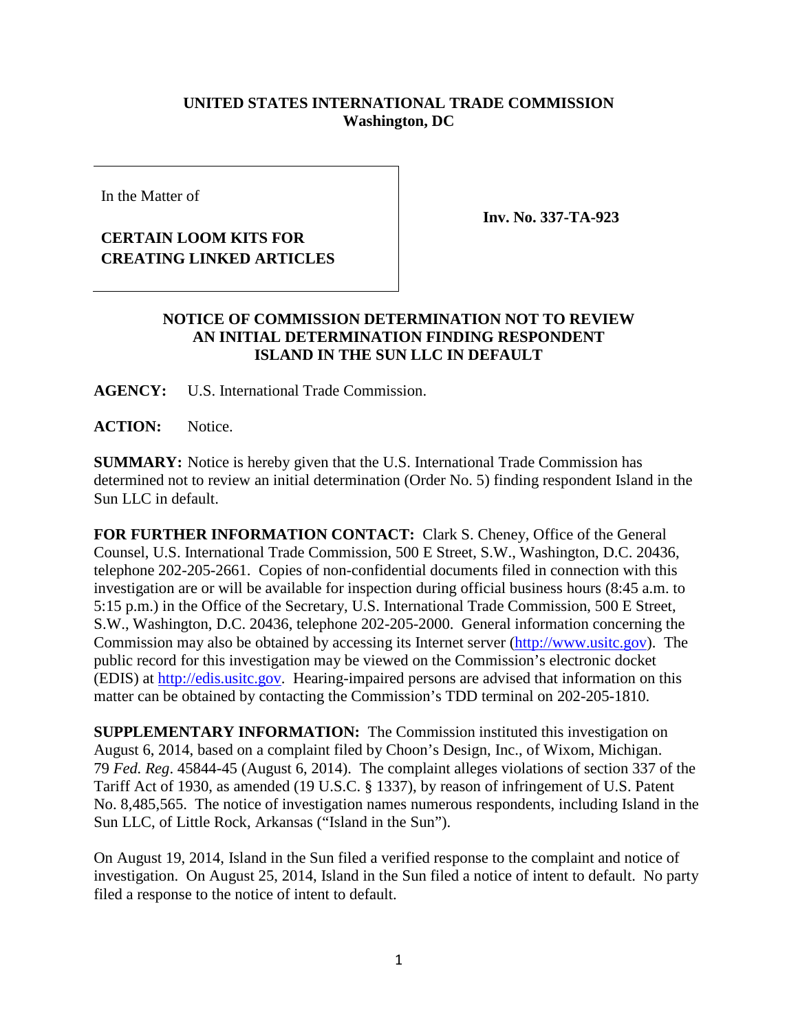## **UNITED STATES INTERNATIONAL TRADE COMMISSION Washington, DC**

In the Matter of

## **CERTAIN LOOM KITS FOR CREATING LINKED ARTICLES**

**Inv. No. 337-TA-923**

## **NOTICE OF COMMISSION DETERMINATION NOT TO REVIEW AN INITIAL DETERMINATION FINDING RESPONDENT ISLAND IN THE SUN LLC IN DEFAULT**

**AGENCY:** U.S. International Trade Commission.

**ACTION:** Notice.

**SUMMARY:** Notice is hereby given that the U.S. International Trade Commission has determined not to review an initial determination (Order No. 5) finding respondent Island in the Sun LLC in default.

**FOR FURTHER INFORMATION CONTACT:** Clark S. Cheney, Office of the General Counsel, U.S. International Trade Commission, 500 E Street, S.W., Washington, D.C. 20436, telephone 202-205-2661. Copies of non-confidential documents filed in connection with this investigation are or will be available for inspection during official business hours (8:45 a.m. to 5:15 p.m.) in the Office of the Secretary, U.S. International Trade Commission, 500 E Street, S.W., Washington, D.C. 20436, telephone 202-205-2000. General information concerning the Commission may also be obtained by accessing its Internet server [\(http://www.usitc.gov\)](http://www.usitc.gov/). The public record for this investigation may be viewed on the Commission's electronic docket (EDIS) at [http://edis.usitc.gov.](http://edis.usitc.gov/) Hearing-impaired persons are advised that information on this matter can be obtained by contacting the Commission's TDD terminal on 202-205-1810.

**SUPPLEMENTARY INFORMATION:** The Commission instituted this investigation on August 6, 2014, based on a complaint filed by Choon's Design, Inc., of Wixom, Michigan. 79 *Fed. Reg*. 45844-45 (August 6, 2014). The complaint alleges violations of section 337 of the Tariff Act of 1930, as amended (19 U.S.C. § 1337), by reason of infringement of U.S. Patent No. 8,485,565. The notice of investigation names numerous respondents, including Island in the Sun LLC, of Little Rock, Arkansas ("Island in the Sun").

On August 19, 2014, Island in the Sun filed a verified response to the complaint and notice of investigation. On August 25, 2014, Island in the Sun filed a notice of intent to default. No party filed a response to the notice of intent to default.